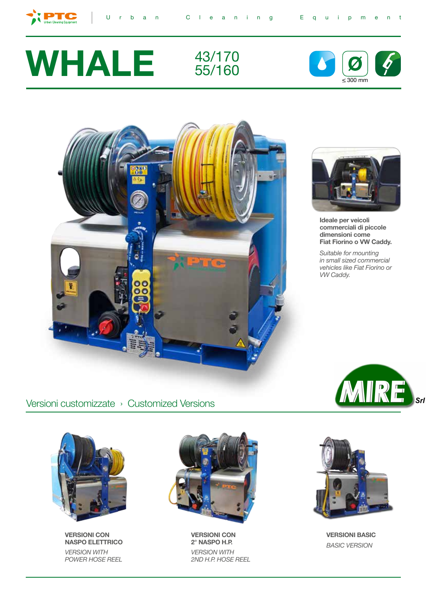



 $\bullet$ 









**Ideale per veicoli commerciali di piccole dimensioni come Fiat Fiorino o VW Caddy.**

*Suitable for mounting in small sized commercial vehicles like Fiat Fiorino or VW Caddy.*

> MIRE  $\overline{\mathsf{s}}$ rl

Versioni customizzate › Customized Versions



**VERSIONI CON NASPO ELETTRICO** *VERSION WITH POWER HOSE REEL*



**VERSIONI CON 2° NASPO H.P.** *VERSION WITH 2ND H.P. HOSE REEL* 



**VERSIONI BASIC** *BASIC VERSION*